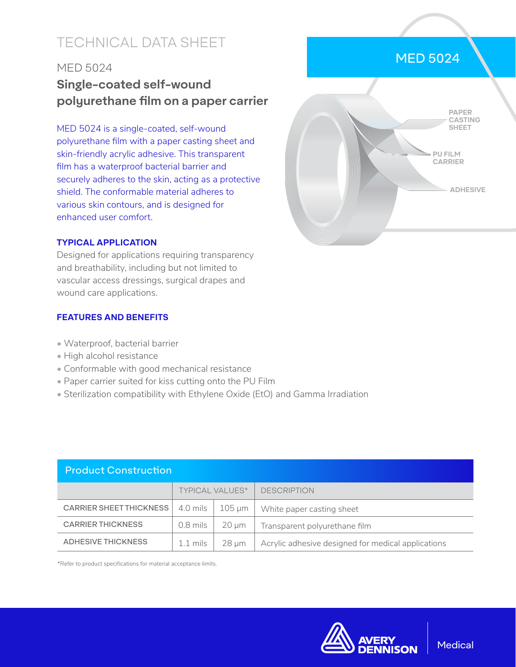# TECHNICAL DATA SHEET

### MED 5024

# **Single-coated self-wound polyurethane film on a paper carrier**

MED 5024 is a single-coated, self-wound polyurethane film with a paper casting sheet and skin-friendly acrylic adhesive. This transparent film has a waterproof bacterial barrier and securely adheres to the skin, acting as a protective shield. The conformable material adheres to various skin contours, and is designed for enhanced user comfort.



### **TYPICAL APPLICATION**

Designed for applications requiring transparency and breathability, including but not limited to vascular access dressings, surgical drapes and wound care applications.

### **FEATURES AND BENEFITS**

- Waterproof, bacterial barrier
- High alcohol resistance
- Conformable with good mechanical resistance
- Paper carrier suited for kiss cutting onto the PU Film
- Sterilization compatibility with Ethylene Oxide (EtO) and Gamma Irradiation

| <b>Product Construction</b>    |                        |             |                                                    |  |  |  |
|--------------------------------|------------------------|-------------|----------------------------------------------------|--|--|--|
|                                | <b>TYPICAL VALUES*</b> |             | <b>DESCRIPTION</b>                                 |  |  |  |
| <b>CARRIER SHEET THICKNESS</b> | 4.0 mils               | $105 \mu m$ | White paper casting sheet                          |  |  |  |
| <b>CARRIER THICKNESS</b>       | $0.8$ mils             | $20 \mu m$  | Transparent polyurethane film                      |  |  |  |
| <b>ADHESIVE THICKNESS</b>      | $1.1 \,\mathrm{mils}$  | $28 \mu m$  | Acrylic adhesive designed for medical applications |  |  |  |

\*Refer to product specifications for material acceptance limits.